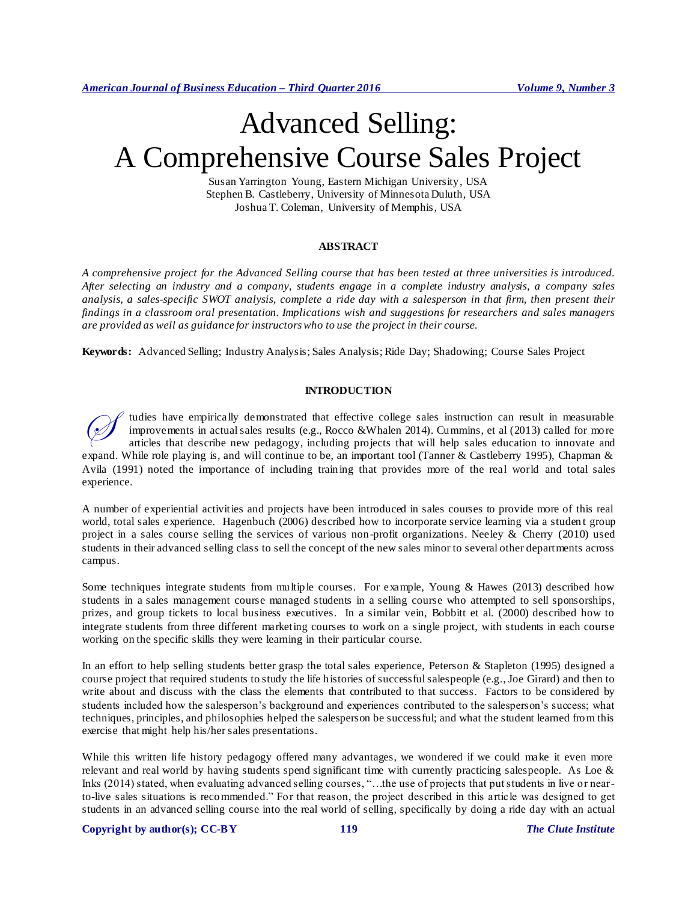# Advanced Selling: A Comprehensive Course Sales Project

Susan Yarrington Young, Eastern Michigan University, USA Stephen B. Castleberry, University of Minnesota Duluth, USA Joshua T. Coleman, University of Memphis, USA

## **ABSTRACT**

*A comprehensive project for the Advanced Selling course that has been tested at three universities is introduced. After selecting an industry and a company, students engage in a complete industry analysis, a company sales analysis, a sales-specific SWOT analysis, complete a ride day with a salesperson in that firm, then present their findings in a classroom oral presentation. Implications wish and suggestions for researchers and sales managers are provided as well as guidance for instructors who to use the project in their course.*

**Keywords:** Advanced Selling; Industry Analysis; Sales Analysis; Ride Day; Shadowing; Course Sales Project

#### **INTRODUCTION**

tudies have empirically demonstrated that effective college sales instruction can result in measurable improvements in actual sales results (e.g., Rocco &Whalen 2014). Cummins, et al (2013) called for more articles that describe new pedagogy, including projects that will help sales education to innovate and expand. While role playing is, and will continue to be, an important tool (Tanner & Castleberry 1995), Chapman & Avila (1991) noted the importance of including training that provides more of the real world and total sales experience.  $\oslash$ 

A number of experiential activities and projects have been introduced in sales courses to provide more of this real world, total sales experience. Hagenbuch (2006) described how to incorporate service learning via a studen t group project in a sales course selling the services of various non-profit organizations. Neeley & Cherry (2010) used students in their advanced selling class to sell the concept of the new sales minor to several other departments across campus.

Some techniques integrate students from multiple courses. For example, Young & Hawes (2013) described how students in a sales management course managed students in a selling course who attempted to sell sponsorships, prizes, and group tickets to local business executives. In a similar vein, Bobbitt et al. (2000) described how to integrate students from three different marketing courses to work on a single project, with students in each course working on the specific skills they were learning in their particular course.

In an effort to help selling students better grasp the total sales experience, Peterson & Stapleton (1995) designed a course project that required students to study the life histories of successful salespeople (e.g., Joe Girard) and then to write about and discuss with the class the elements that contributed to that success. Factors to be considered by students included how the salesperson's background and experiences contributed to the salesperson's success; what techniques, principles, and philosophies helped the salesperson be successful; and what the student learned from this exercise that might help his/her sales presentations.

While this written life history pedagogy offered many advantages, we wondered if we could make it even more relevant and real world by having students spend significant time with currently practicing salespeople. As Loe & Inks (2014) stated, when evaluating advanced selling courses, "…the use of projects that put students in live or nearto-live sales situations is recommended." For that reason, the project described in this article was designed to get students in an advanced selling course into the real world of selling, specifically by doing a ride day with an actual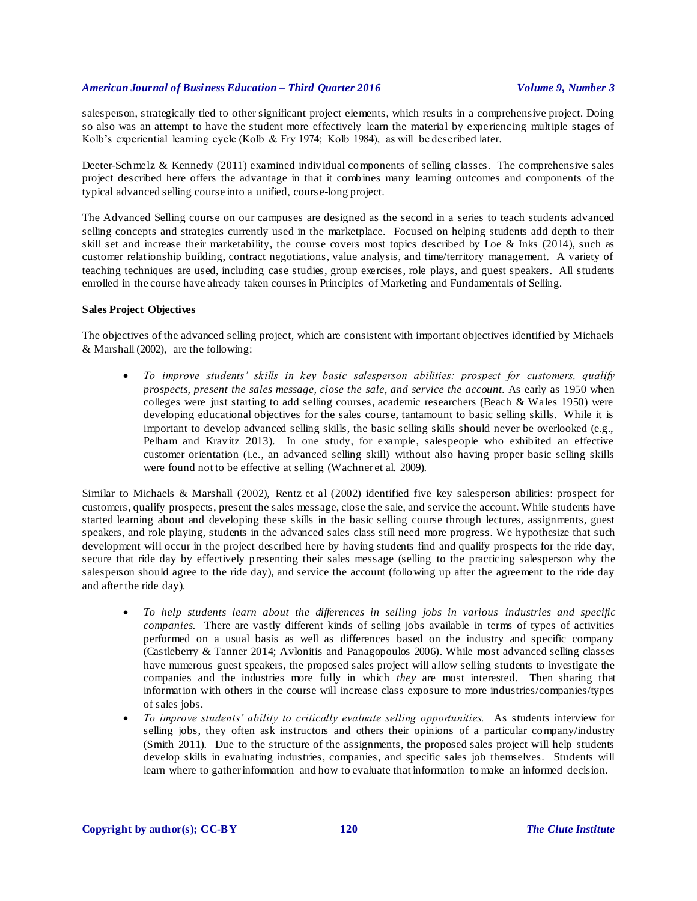salesperson, strategically tied to other significant project elements, which results in a comprehensive project. Doing so also was an attempt to have the student more effectively learn the material by experiencing multiple stages of Kolb's experiential learning cycle (Kolb & Fry 1974; Kolb 1984), as will be described later.

Deeter-Schmelz & Kennedy (2011) examined individual components of selling classes. The comprehensive sales project described here offers the advantage in that it combines many learning outcomes and components of the typical advanced selling course into a unified, cours e-long project.

The Advanced Selling course on our campuses are designed as the second in a series to teach students advanced selling concepts and strategies currently used in the marketplace. Focused on helping students add depth to their skill set and increase their marketability, the course covers most topics described by Loe & Inks (2014), such as customer relationship building, contract negotiations, value analysis, and time/territory management. A variety of teaching techniques are used, including case studies, group exercises, role plays, and guest speakers. All students enrolled in the course have already taken courses in Principles of Marketing and Fundamentals of Selling.

### **Sales Project Objectives**

The objectives of the advanced selling project, which are consistent with important objectives identified by Michaels & Marshall (2002), are the following:

 *To improve students' skills in key basic salesperson abilities: prospect for customers, qualify prospects, present the sales message, close the sale, and service the account.* As early as 1950 when colleges were just starting to add selling courses, academic researchers (Beach & Wales 1950) were developing educational objectives for the sales course, tantamount to basic selling skills. While it is important to develop advanced selling skills, the basic selling skills should never be overlooked (e.g., Pelham and Kravitz 2013). In one study, for example, salespeople who exhibited an effective customer orientation (i.e., an advanced selling skill) without also having proper basic selling skills were found not to be effective at selling (Wachner et al. 2009).

Similar to Michaels & Marshall (2002), Rentz et al (2002) identified five key salesperson abilities: prospect for customers, qualify prospects, present the sales message, close the sale, and service the account. While students have started learning about and developing these skills in the basic selling course through lectures, assignments, guest speakers, and role playing, students in the advanced sales class still need more progress. We hypothesize that such development will occur in the project described here by having students find and qualify prospects for the ride day, secure that ride day by effectively presenting their sales message (selling to the practicing salesperson why the salesperson should agree to the ride day), and service the account (following up after the agreement to the ride day and after the ride day).

- *To help students learn about the differences in selling jobs in various industries and specific companies.* There are vastly different kinds of selling jobs available in terms of types of activities performed on a usual basis as well as differences based on the industry and specific company (Castleberry & Tanner 2014; Avlonitis and Panagopoulos 2006). While most advanced selling classes have numerous guest speakers, the proposed sales project will allow selling students to investigate the companies and the industries more fully in which *they* are most interested. Then sharing that information with others in the course will increase class exposure to more industries/companies/types of sales jobs.
- *To improve students' ability to critically evaluate selling opportunities.* As students interview for selling jobs, they often ask instructors and others their opinions of a particular company/industry (Smith 2011). Due to the structure of the assignments, the proposed sales project will help students develop skills in evaluating industries, companies, and specific sales job themselves. Students will learn where to gather information and how to evaluate that information to make an informed decision.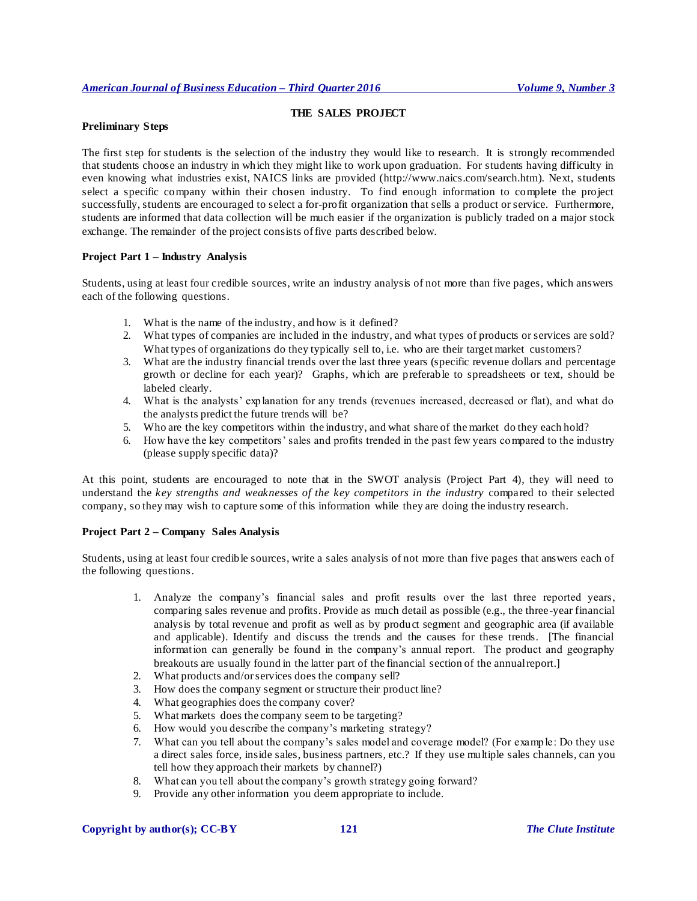## **THE SALES PROJECT**

## **Preliminary Steps**

The first step for students is the selection of the industry they would like to research. It is strongly recommended that students choose an industry in which they might like to work upon graduation. For students having difficulty in even knowing what industries exist, NAICS links are provided (http://www.naics.com/search.htm). Next, students select a specific company within their chosen industry. To find enough information to complete the project successfully, students are encouraged to select a for-profit organization that sells a product or service. Furthermore, students are informed that data collection will be much easier if the organization is publicly traded on a major stock exchange. The remainder of the project consists of five parts described below.

## **Project Part 1 – Industry Analysis**

Students, using at least four credible sources, write an industry analysis of not more than five pages, which answers each of the following questions.

- 1. What is the name of the industry, and how is it defined?
- 2. What types of companies are included in the industry, and what types of products or services are sold? What types of organizations do they typically sell to, i.e. who are their target market customers?
- 3. What are the industry financial trends over the last three years (specific revenue dollars and percentage growth or decline for each year)? Graphs, which are preferable to spreadsheets or text, should be labeled clearly.
- 4. What is the analysts' explanation for any trends (revenues increased, decreased or flat), and what do the analysts predict the future trends will be?
- 5. Who are the key competitors within the industry, and what share of the market do they each hold?
- 6. How have the key competitors' sales and profits trended in the past few years compared to the industry (please supply specific data)?

At this point, students are encouraged to note that in the SWOT analysis (Project Part 4), they will need to understand the *key strengths and weaknesses of the key competitors in the industry* compared to their selected company, so they may wish to capture some of this information while they are doing the industry research.

## **Project Part 2 – Company Sales Analysis**

Students, using at least four credible sources, write a sales analysis of not more than five pages that answers each of the following questions.

- 1. Analyze the company's financial sales and profit results over the last three reported years, comparing sales revenue and profits. Provide as much detail as possible (e.g., the three-year financial analysis by total revenue and profit as well as by product segment and geographic area (if available and applicable). Identify and discuss the trends and the causes for these trends. [The financial information can generally be found in the company's annual report. The product and geography breakouts are usually found in the latter part of the financial section of the annual report.]
- 2. What products and/or services does the company sell?
- 3. How does the company segment or structure their product line?
- 4. What geographies does the company cover?
- 5. What markets does the company seem to be targeting?
- 6. How would you describe the company's marketing strategy?
- 7. What can you tell about the company's sales model and coverage model? (For example: Do they use a direct sales force, inside sales, business partners, etc.? If they use multiple sales channels, can you tell how they approach their markets by channel?)
- 8. What can you tell about the company's growth strategy going forward?
- 9. Provide any other information you deem appropriate to include.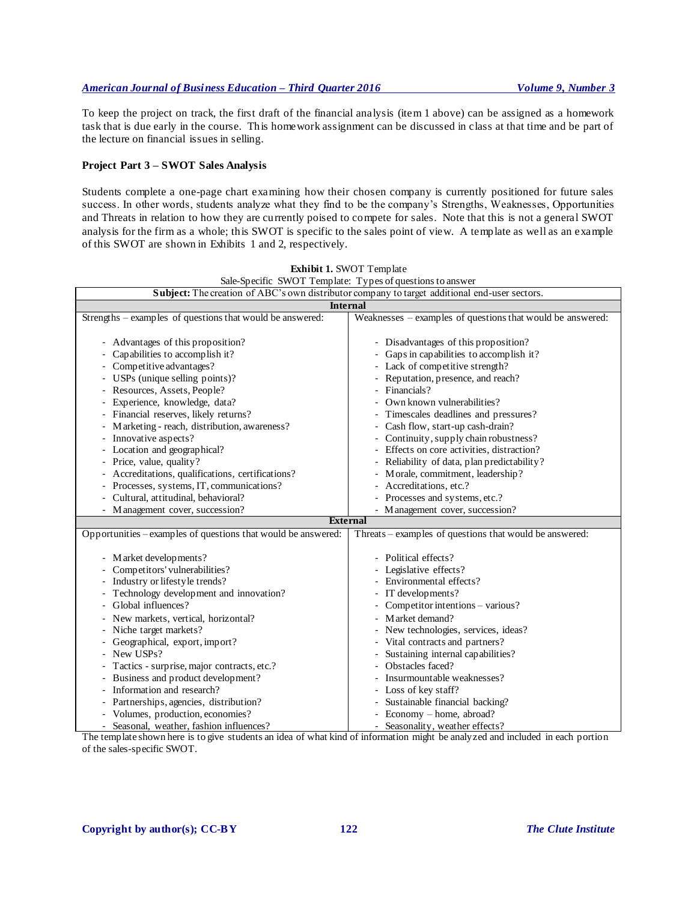To keep the project on track, the first draft of the financial analysis (item 1 above) can be assigned as a homework task that is due early in the course. This homework assignment can be discussed in class at that time and be part of the lecture on financial issues in selling.

### **Project Part 3 – SWOT Sales Analysis**

Students complete a one-page chart examining how their chosen company is currently positioned for future sales success. In other words, students analyze what they find to be the company's Strengths, Weaknesses, Opportunities and Threats in relation to how they are currently poised to compete for sales. Note that this is not a general SWOT analysis for the firm as a whole; this SWOT is specific to the sales point of view. A template as well as an example of this SWOT are shown in Exhibits 1 and 2, respectively.

**Exhibit 1.** SWOT Template

| Sale-Specific SWOT Template: Types of questions to answer                                                                                                                                                                                                                                                                                                                                                                                                                                                                                     |  |  |  |  |
|-----------------------------------------------------------------------------------------------------------------------------------------------------------------------------------------------------------------------------------------------------------------------------------------------------------------------------------------------------------------------------------------------------------------------------------------------------------------------------------------------------------------------------------------------|--|--|--|--|
| Subject: The creation of ABC's own distributor company to target additional end-user sectors.                                                                                                                                                                                                                                                                                                                                                                                                                                                 |  |  |  |  |
| <b>Internal</b>                                                                                                                                                                                                                                                                                                                                                                                                                                                                                                                               |  |  |  |  |
| Weaknesses – examples of questions that would be answered:                                                                                                                                                                                                                                                                                                                                                                                                                                                                                    |  |  |  |  |
| - Disadvantages of this proposition?<br>Gaps in capabilities to accomplish it?<br>- Lack of competitive strength?<br>Reputation, presence, and reach?<br>Financials?<br>Own known vulnerabilities?<br>Timescales deadlines and pressures?<br>Cash flow, start-up cash-drain?<br>Continuity, supply chain robustness?<br>Effects on core activities, distraction?<br>Reliability of data, plan predictability?<br>Morale, commitment, leadership?<br>Accreditations, etc.?<br>- Processes and systems, etc.?                                   |  |  |  |  |
| - Management cover, succession?                                                                                                                                                                                                                                                                                                                                                                                                                                                                                                               |  |  |  |  |
| <b>External</b><br>Opportunities – examples of questions that would be answered:                                                                                                                                                                                                                                                                                                                                                                                                                                                              |  |  |  |  |
| Threats – examples of questions that would be answered:<br>- Political effects?<br>Legislative effects?<br>Environmental effects?<br>IT developments?<br>-<br>Competitor intentions - various?<br>-<br>Market demand?<br>$\overline{\phantom{0}}$<br>New technologies, services, ideas?<br>-<br>Vital contracts and partners?<br>-<br>Sustaining internal capabilities?<br>Obstacles faced?<br>Insurmountable weaknesses?<br>Loss of key staff?<br>Sustainable financial backing?<br>Economy - home, abroad?<br>Seasonality, weather effects? |  |  |  |  |
|                                                                                                                                                                                                                                                                                                                                                                                                                                                                                                                                               |  |  |  |  |

of the sales-specific SWOT.

The template shown here is to give students an idea of what kind of information might be analyzed and included in each portion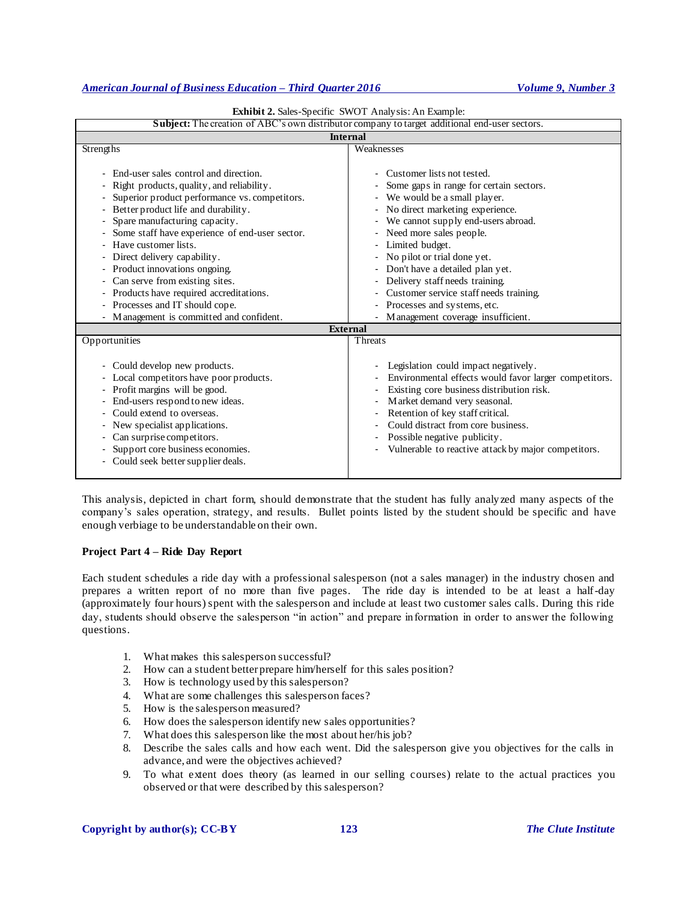| Subject: The creation of ABC's own distributor company to target additional end-user sectors.                                                                                                                                                                                                                                                                                                                                                                                                                            |                                                                                                                                                                                                                                                                                                                                                                                                                                                                       |  |  |  |  |
|--------------------------------------------------------------------------------------------------------------------------------------------------------------------------------------------------------------------------------------------------------------------------------------------------------------------------------------------------------------------------------------------------------------------------------------------------------------------------------------------------------------------------|-----------------------------------------------------------------------------------------------------------------------------------------------------------------------------------------------------------------------------------------------------------------------------------------------------------------------------------------------------------------------------------------------------------------------------------------------------------------------|--|--|--|--|
| <b>Internal</b>                                                                                                                                                                                                                                                                                                                                                                                                                                                                                                          |                                                                                                                                                                                                                                                                                                                                                                                                                                                                       |  |  |  |  |
| Strengths                                                                                                                                                                                                                                                                                                                                                                                                                                                                                                                | Weaknesses                                                                                                                                                                                                                                                                                                                                                                                                                                                            |  |  |  |  |
| - End-user sales control and direction.<br>Right products, quality, and reliability.<br>Superior product performance vs. competitors.<br>Better product life and durability.<br>Spare manufacturing capacity.<br>Some staff have experience of end-user sector.<br>Have customer lists.<br>Direct delivery capability.<br>Product innovations ongoing.<br>۰.<br>Can serve from existing sites.<br>Products have required accreditations.<br>۰<br>Processes and IT should cope.<br>Management is committed and confident. | Customer lists not tested.<br>Some gaps in range for certain sectors.<br>We would be a small player.<br>- No direct marketing experience.<br>We cannot supply end-users abroad.<br>$\sim$<br>- Need more sales people.<br>- Limited budget.<br>- No pilot or trial done yet.<br>- Don't have a detailed plan yet.<br>Delivery staff needs training.<br>Customer service staff needs training.<br>- Processes and systems, etc.<br>- Management coverage insufficient. |  |  |  |  |
| <b>External</b>                                                                                                                                                                                                                                                                                                                                                                                                                                                                                                          |                                                                                                                                                                                                                                                                                                                                                                                                                                                                       |  |  |  |  |
| Opportunities                                                                                                                                                                                                                                                                                                                                                                                                                                                                                                            | Threats                                                                                                                                                                                                                                                                                                                                                                                                                                                               |  |  |  |  |
| Could develop new products.<br>÷.<br>Local competitors have poor products.<br>- Profit margins will be good.<br>End-users respond to new ideas.<br>Could extend to overseas.<br>New specialist applications.<br>Can surprise competitors.<br>Support core business economies.<br>Could seek better supplier deals.                                                                                                                                                                                                       | Legislation could impact negatively.<br>Environmental effects would favor larger competitors.<br>Existing core business distribution risk.<br>Market demand very seasonal.<br>Retention of key staff critical.<br>Could distract from core business.<br>Possible negative publicity.<br>$\overline{\phantom{0}}$<br>Vulnerable to reactive attack by major competitors.                                                                                               |  |  |  |  |

|  |  | <b>Exhibit 2.</b> Sales-Specific SWOT Analysis: An Example: |
|--|--|-------------------------------------------------------------|
|--|--|-------------------------------------------------------------|

This analysis, depicted in chart form, should demonstrate that the student has fully analyzed many aspects of the company's sales operation, strategy, and results. Bullet points listed by the student should be specific and have enough verbiage to be understandable on their own.

## **Project Part 4 – Ride Day Report**

Each student schedules a ride day with a professional salesperson (not a sales manager) in the industry chosen and prepares a written report of no more than five pages. The ride day is intended to be at least a half-day (approximately four hours) spent with the salesperson and include at least two customer sales calls. During this ride day, students should observe the salesperson "in action" and prepare information in order to answer the following questions.

- 1. What makes this salesperson successful?
- 2. How can a student better prepare him/herself for this sales position?
- 3. How is technology used by this salesperson?
- 4. What are some challenges this salesperson faces?
- 5. How is the salesperson measured?
- 6. How does the salesperson identify new sales opportunities?
- 7. What does this salesperson like the most about her/his job?
- 8. Describe the sales calls and how each went. Did the salesperson give you objectives for the calls in advance, and were the objectives achieved?
- 9. To what extent does theory (as learned in our selling courses) relate to the actual practices you observed or that were described by this salesperson?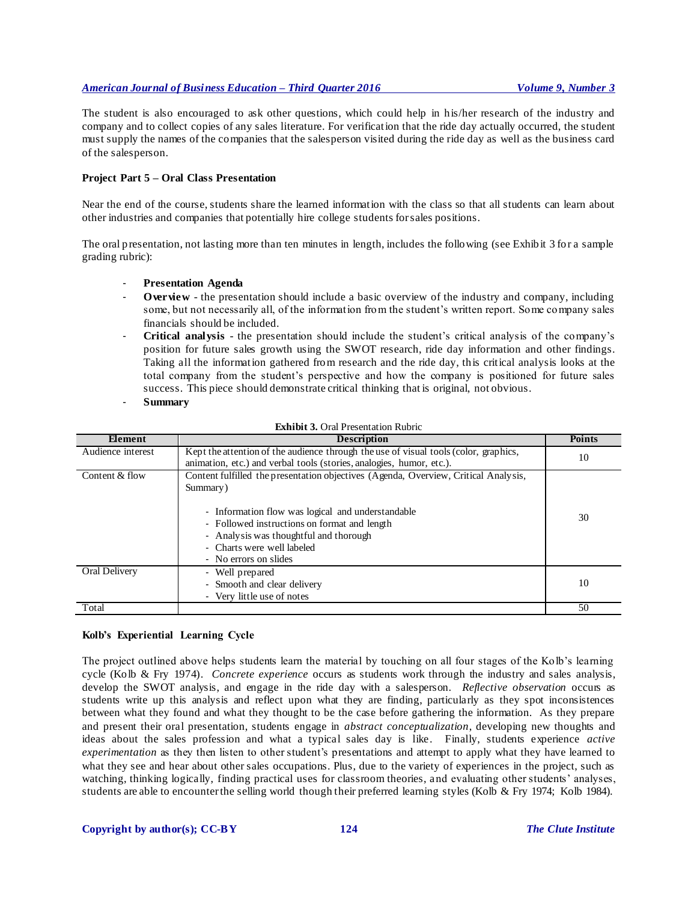The student is also encouraged to ask other questions, which could help in his/her research of the industry and company and to collect copies of any sales literature. For verification that the ride day actually occurred, the student must supply the names of the companies that the salesperson visited during the ride day as well as the business card of the salesperson.

## **Project Part 5 – Oral Class Presentation**

Near the end of the course, students share the learned information with the class so that all students can learn about other industries and companies that potentially hire college students for sales positions.

The oral presentation, not lasting more than ten minutes in length, includes the following (see Exhibit 3 for a sample grading rubric):

- **Presentation Agenda**
- **Overview** the presentation should include a basic overview of the industry and company, including some, but not necessarily all, of the information from the student's written report. Some company sales financials should be included.
- **Critical analysis** the presentation should include the student's critical analysis of the company's position for future sales growth using the SWOT research, ride day information and other findings. Taking all the information gathered from research and the ride day, this critical analysis looks at the total company from the student's perspective and how the company is positioned for future sales success. This piece should demonstrate critical thinking that is original, not obvious.
- **Summary**

| Element           | <b>Description</b>                                                                                                                                                                                                                                                                                    | <b>Points</b> |
|-------------------|-------------------------------------------------------------------------------------------------------------------------------------------------------------------------------------------------------------------------------------------------------------------------------------------------------|---------------|
| Audience interest | Kept the attention of the audience through the use of visual tools (color, graphics,<br>animation, etc.) and verbal tools (stories, analogies, humor, etc.).                                                                                                                                          | 10            |
| Content & flow    | Content fulfilled the presentation objectives (Agenda, Overview, Critical Analysis,<br>Summary)<br>- Information flow was logical and understandable<br>- Followed instructions on format and length<br>- Analysis was thoughtful and thorough<br>- Charts were well labeled<br>- No errors on slides | 30            |
| Oral Delivery     | - Well prepared<br>- Smooth and clear delivery<br>- Very little use of notes                                                                                                                                                                                                                          | 10            |
| Total             |                                                                                                                                                                                                                                                                                                       | 50            |

## **Exhibit 3.** Oral Presentation Rubric

## **Kolb's Experiential Learning Cycle**

The project outlined above helps students learn the material by touching on all four stages of the Kolb's learning cycle (Kolb & Fry 1974). *Concrete experience* occurs as students work through the industry and sales analysis, develop the SWOT analysis, and engage in the ride day with a salesperson. *Reflective observation* occurs as students write up this analysis and reflect upon what they are finding, particularly as they spot inconsistences between what they found and what they thought to be the case before gathering the information. As they prepare and present their oral presentation, students engage in *abstract conceptualization*, developing new thoughts and ideas about the sales profession and what a typical sales day is like. Finally, students experience *active experimentation* as they then listen to other student's presentations and attempt to apply what they have learned to what they see and hear about other sales occupations. Plus, due to the variety of experiences in the project, such as watching, thinking logically, finding practical uses for classroom theories, and evaluating other students' analyses, students are able to encounter the selling world though their preferred learning styles (Kolb & Fry 1974; Kolb 1984).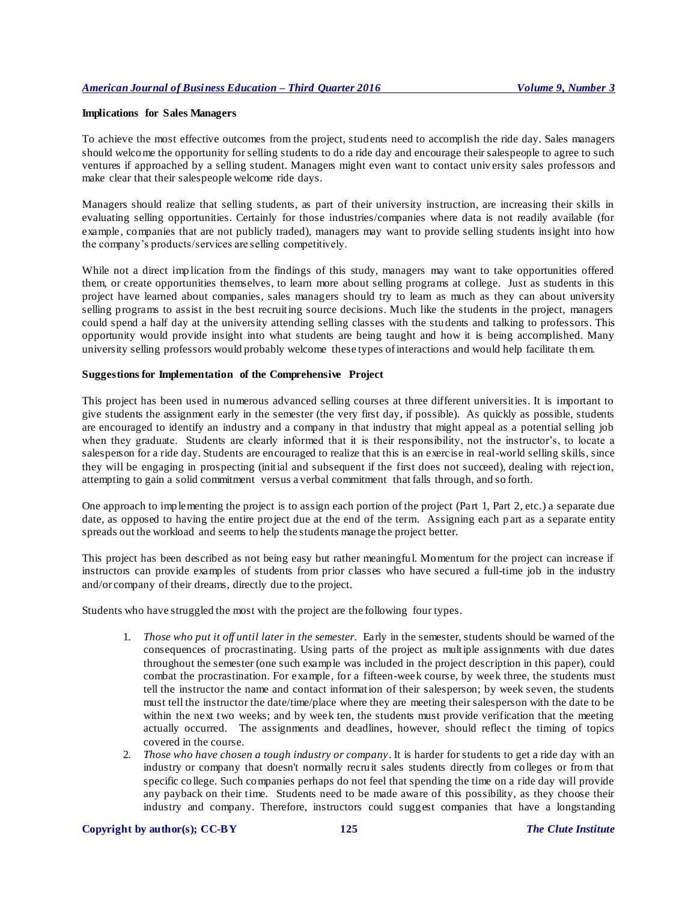### **Implications for Sales Managers**

To achieve the most effective outcomes from the project, students need to accomplish the ride day. Sales managers should welcome the opportunity for selling students to do a ride day and encourage their salespeople to agree to such ventures if approached by a selling student. Managers might even want to contact university sales professors and make clear that their salespeople welcome ride days.

Managers should realize that selling students, as part of their university instruction, are increasing their skills in evaluating selling opportunities. Certainly for those industries/companies where data is not readily available (for example, companies that are not publicly traded), managers may want to provide selling students insight into how the company's products/services are selling competitively.

While not a direct implication from the findings of this study, managers may want to take opportunities offered them, or create opportunities themselves, to learn more about selling programs at college. Just as students in this project have learned about companies, sales managers should try to learn as much as they can about university selling programs to assist in the best recruiting source decisions. Much like the students in the project, managers could spend a half day at the university attending selling classes with the stu dents and talking to professors. This opportunity would provide insight into what students are being taught and how it is being accomplished. Many university selling professors would probably welcome these types of interactions and would help facilitate th em.

## **Suggestions for Implementation of the Comprehensive Project**

This project has been used in numerous advanced selling courses at three different universities. It is important to give students the assignment early in the semester (the very first day, if possible). As quickly as possible, students are encouraged to identify an industry and a company in that industry that might appeal as a potential selling job when they graduate. Students are clearly informed that it is their responsibility, not the instructor's, to locate a salesperson for a ride day. Students are encouraged to realize that this is an exercise in real-world selling skills, since they will be engaging in prospecting (initial and subsequent if the first does not succeed), dealing with rejection, attempting to gain a solid commitment versus a verbal commitment that falls through, and so forth.

One approach to implementing the project is to assign each portion of the project (Part 1, Part 2, etc.) a separate due date, as opposed to having the entire project due at the end of the term. Assigning each part as a separate entity spreads out the workload and seems to help the students manage the project better.

This project has been described as not being easy but rather meaningful. Momentum for the project can increase if instructors can provide examples of students from prior classes who have secured a full-time job in the industry and/or company of their dreams, directly due to the project.

Students who have struggled the most with the project are the following four types.

- 1. *Those who put it off until later in the semester.* Early in the semester, students should be warned of the consequences of procrastinating. Using parts of the project as multiple assignments with due dates throughout the semester (one such example was included in the project description in this paper), could combat the procrastination. For example, for a fifteen-week course, by week three, the students must tell the instructor the name and contact information of their salesperson; by week seven, the students must tell the instructor the date/time/place where they are meeting their salesperson with the date to be within the next two weeks; and by week ten, the students must provide verification that the meeting actually occurred. The assignments and deadlines, however, should reflect the timing of topics covered in the course.
- 2. *Those who have chosen a tough industry or company*. It is harder for students to get a ride day with an industry or company that doesn't normally recruit sales students directly from colleges or from that specific college. Such companies perhaps do not feel that spending the time on a ride day will provide any payback on their time. Students need to be made aware of this possibility, as they choose their industry and company. Therefore, instructors could suggest companies that have a longstanding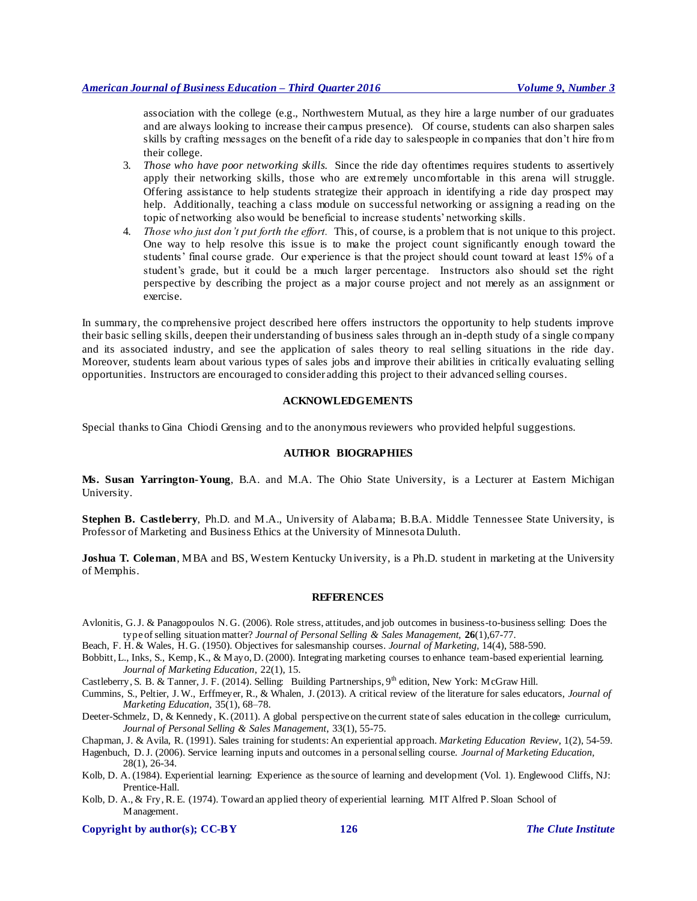association with the college (e.g., Northwestern Mutual, as they hire a large number of our graduates and are always looking to increase their campus presence). Of course, students can also sharpen sales skills by crafting messages on the benefit of a ride day to salespeople in companies that don't hire from their college.

- 3. *Those who have poor networking skills.* Since the ride day oftentimes requires students to assertively apply their networking skills, those who are extremely uncomfortable in this arena will struggle. Offering assistance to help students strategize their approach in identifying a ride day prospect may help. Additionally, teaching a class module on successful networking or assigning a reading on the topic of networking also would be beneficial to increase students' networking skills.
- 4. *Those who just don't put forth the effort.* This, of course, is a problem that is not unique to this project. One way to help resolve this issue is to make the project count significantly enough toward the students' final course grade. Our experience is that the project should count toward at least 15% of a student's grade, but it could be a much larger percentage. Instructors also should set the right perspective by describing the project as a major course project and not merely as an assignment or exercise.

In summary, the comprehensive project described here offers instructors the opportunity to help students improve their basic selling skills, deepen their understanding of business sales through an in-depth study of a single company and its associated industry, and see the application of sales theory to real selling situations in the ride day. Moreover, students learn about various types of sales jobs and improve their abilities in critically evaluating selling opportunities. Instructors are encouraged to consider adding this project to their advanced selling courses.

## **ACKNOWLEDGEMENTS**

Special thanks to Gina Chiodi Grensing and to the anonymous reviewers who provided helpful suggestions.

## **AUTHOR BIOGRAPHIES**

**Ms. Susan Yarrington-Young**, B.A. and M.A. The Ohio State University, is a Lecturer at Eastern Michigan University.

**Stephen B. Castleberry**, Ph.D. and M.A., University of Alabama; B.B.A. Middle Tennessee State University, is Professor of Marketing and Business Ethics at the University of Minnesota Duluth.

**Joshua T. Coleman**, MBA and BS, Western Kentucky University, is a Ph.D. student in marketing at the University of Memphis.

#### **REFERENCES**

- Avlonitis, G. J. & Panagopoulos N. G. (2006). Role stress, attitudes, and job outcomes in business-to-business selling: Does the type of selling situation matter? *Journal of Personal Selling & Sales Management,* **26**(1),67-77.
- Beach, F. H. & Wales, H. G. (1950). Objectives for salesmanship courses. *Journal of Marketing,* 14(4), 588-590.
- Bobbitt, L., Inks, S., Kemp, K., & Mayo, D. (2000). Integrating marketing courses to enhance team-based experiential learning. *Journal of Marketing Education*, 22(1), 15.
- Castleberry, S. B. & Tanner, J. F. (2014). Selling: Building Partnerships,  $9<sup>th</sup>$  edition, New York: McGraw Hill.
- Cummins, S., Peltier, J. W., Erffmeyer, R., & Whalen, J. (2013). A critical review of the literature for sales educators, *Journal of Marketing Education*, 35(1), 68–78.
- Deeter-Schmelz, D, & Kennedy, K. (2011). A global perspective on the current state of sales education in the college curriculum, *Journal of Personal Selling & Sales Management*, 33(1), 55-75.
- Chapman, J. & Avila, R. (1991). Sales training for students: An experiential approach. *Marketing Education Review,* 1(2), 54-59.

Hagenbuch, D. J. (2006). Service learning inputs and outcomes in a personal selling course. *Journal of Marketing Education,* 28(1), 26-34.

- Kolb, D. A. (1984). Experiential learning: Experience as the source of learning and development (Vol. 1). Englewood Cliffs, NJ: Prentice-Hall.
- Kolb, D. A., & Fry, R. E. (1974). Toward an applied theory of experiential learning. MIT Alfred P. Sloan School of Management.

#### **Copyright by author(s); [CC-BY](http://creativecommons.org/licenses/by/3.0/) 126** *[The Clute Institute](http://www.cluteinstitute.com/)*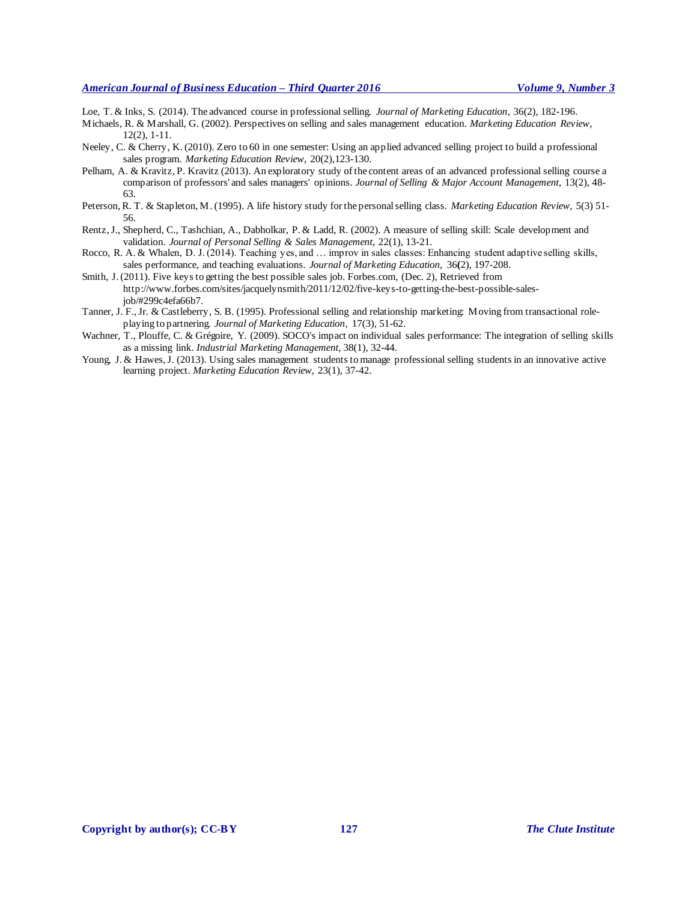Loe, T. & Inks, S. (2014). The advanced course in professional selling. *Journal of Marketing Education*, 36(2), 182-196.

Michaels, R. & Marshall, G. (2002). Perspectives on selling and sales management education. *Marketing Education Review*, 12(2), 1-11.

- Neeley, C. & Cherry, K. (2010). Zero to 60 in one semester: Using an applied advanced selling project to build a professional sales program. *Marketing Education Review,* 20(2),123-130.
- Pelham, A. & Kravitz, P. Kravitz (2013). An exploratory study of the content areas of an advanced professional selling course a comparison of professors' and sales managers' opinions. *Journal of Selling & Major Account Management*, 13(2), 48- 63.
- Peterson, R. T. & Stapleton, M. (1995). A life history study for the personal selling class. *Marketing Education Review,* 5(3) 51- 56.
- Rentz, J., Shepherd, C., Tashchian, A., Dabholkar, P. & Ladd, R. (2002). A measure of selling skill: Scale development and validation. *Journal of Personal Selling & Sales Management*, 22(1), 13-21.
- Rocco, R. A. & Whalen, D. J. (2014). Teaching yes, and … improv in sales classes: Enhancing student adaptive selling skills, sales performance, and teaching evaluations. *Journal of Marketing Education,* 36**(**2), 197-208.
- Smith, J. (2011). Five keys to getting the best possible sales job. Forbes.com, (Dec. 2), Retrieved from http://www.forbes.com/sites/jacquelynsmith/2011/12/02/five-keys-to-getting-the-best-possible-salesjob/#299c4efa66b7.
- Tanner, J. F., Jr. & Castleberry, S. B. (1995). Professional selling and relationship marketing: Moving from transactional roleplaying to partnering. *Journal of Marketing Education*, 17(3), 51-62.
- Wachner, T., Plouffe, C. & Grégoire, Y. (2009). SOCO's impact on individual sales performance: The integration of selling skills as a missing link. *Industrial Marketing Management*, 38(1), 32-44.
- Young, J. & Hawes, J. (2013). Using sales management students to manage professional selling students in an innovative active learning project. *Marketing Education Review,* 23(1), 37-42.